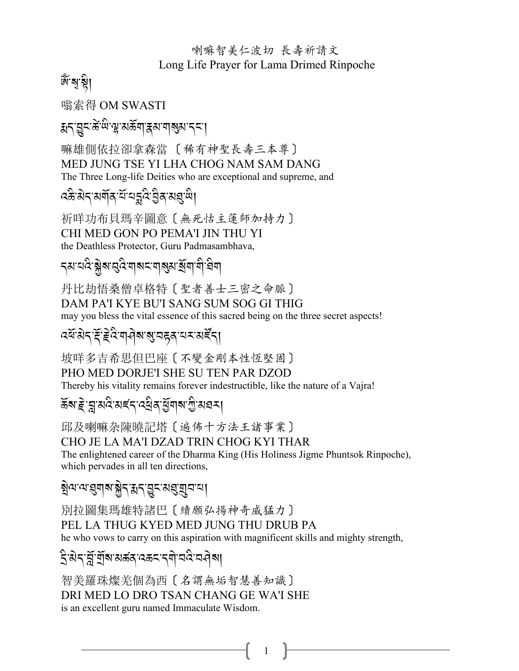#### 喇嘛智美仁波切 長壽祈請文 Long Life Prayer for Lama Drimed Rinpoche

## জ্ঞান্মগ

嗡索得 OM SWASTI

য়ঀড়ৄৼড়ৢ৻ড়ৣ৻য়ড়য়ড়য়য়য়য়য়য়ৼৼৗ

嘛雄側依拉卻拿森當 〔稀有神聖長壽三本尊〕 MED JUNG TSE YI LHA CHOG NAM SAM DANG The Three Long-life Deities who are exceptional and supreme, and

$$
\widehat{\text{var}}(\widehat{\text{var}}(\widehat{\text{var}}(\widehat{\text{var}}(\widehat{\text{var}}(\widehat{\text{var}}(\widehat{\text{var}}(\widehat{\text{var}}(\widehat{\text{var}}(\widehat{\text{var}}(\widehat{\text{var}}(\widehat{\text{var}}(\widehat{\text{var}}(\widehat{\text{var}}(\widehat{\text{var}}(\widehat{\text{var}}(\widehat{\text{var}}(\widehat{\text{var}}(\widehat{\text{var}}(\widehat{\text{var}}(\widehat{\text{var}}(\widehat{\text{var}}(\textrm{var}(\widehat{\text{var}}(\textrm{var}(\textrm{var}(\textrm{var}(\textrm{var}(\textrm{var}(\textrm{var}(\textrm{var}(\textrm{var}(\textrm{var}(\textrm{var}(\textrm{var}(\textrm{var}(\textrm{var}(\textrm{var}(\textrm{var}(\textrm{var}(\textrm{var}(\textrm{var}(\textrm{var}(\textrm{var}(\textrm{var}(\textrm{var}(\textrm{var}(\textrm{var}(\textrm{var}(\textrm{var}(\textrm{var}(\textrm{var}(\textrm{var}(\textrm{var}(\textrm{var}(\textrm{var}(\textrm{var}(\textrm{var}(\textrm{var}(\textrm{var}(\textrm{var}(\textrm{var}(\textrm{var}(\textrm{var}(\textrm{var}(\textrm{var}(\textrm{var}(\textrm{var}(\textrm{var}(\textrm{var}(\textrm{var}(\textrm{var}(\textrm{var}(\textrm{var}(\textrm{var}(\textrm{var}(\textrm{var}(\textrm{var}(\textrm{var}(\textrm{var}(\textrm{var}(\textrm{var}(\textrm{var}(\textrm{var}(\textrm{var}(\textrm{var}(\textrm{var}(\textrm{var}(\textrm{var}(\textrm{var}(\textrm{var}(\textrm{var}(\textrm{var}(\textrm{var}(\textrm{var}(\textrm{var}(\textrm{var}(\textrm{var}(\textrm{var}(\textrm{var}(\textrm{var}(\textrm{var}(\textrm{var}(\textrm{var}(\textrm{var}
$$

祈咩功布貝瑪辛圖意〔無死怙主蓮師加持力〕 CHI MED GON PO PEMA'I JIN THU YI the Deathless Protector, Guru Padmasambhava,

*৲ম*ॱঘঁৎ? ক্লীৰ প্ৰত্ত নাৰা আৰু আৰু বিভিন্ন

丹比劫悟桑僧卓格特〔聖者善士三密之命脈〕 DAM PA'I KYE BU'I SANG SUM SOG GI THIG may you bless the vital essence of this sacred being on the three secret aspects!

# दर्यश्रेद्द्द्द्विण वेषश्वयहवायर सर्देदा

坡咩多吉希思但巴座〔不變金剛本性恆堅固〕 PHO MED DORJE'I SHE SU TEN PAR DZOD Thereby his vitality remains forever indestructible, like the nature of a Vajra!

## ক্লিষ্ট'ন্লুমবিমৰ্ব্দ বৰ্ষ্টিৰ মুঁত্ৰাৰ শ্ৰীষ্মৰ না

邱及喇嘛杂陳曉記塔〔遍佈十方法王諸事業〕 CHO JE LA MA'I DZAD TRIN CHOG KYI THAR The enlightened career of the Dharma King (His Holiness Jigme Phuntsok Rinpoche), which pervades in all ten directions,

## য়ৢ৾ঀৼঀৼঀৢঀৗৢয়ৼৣ৾ঀৼ৻ঀৼ৻ড়ৼ৻ড়ঀৢয়ৢঢ়ৼ

別拉圖集瑪雄特諸巴〔續願弘揚神奇威猛力〕 PEL LA THUG KYED MED JUNG THU DRUB PA he who vows to carry on this aspiration with magnificent skills and mighty strength,

 $\mathbf{1}$ 

#### <u>ই</u>'মेন'ৰ্ম্লু'ৰ্ম্ৰাৰ্ম মৰ্ক্তন'ৰ্মী'নবি'নৰ্বৰা

智美羅珠燦羌個為西〔名謂無垢智慧善知識〕 DRI MED LO DRO TSAN CHANG GE WA'I SHE is an excellent guru named Immaculate Wisdom.